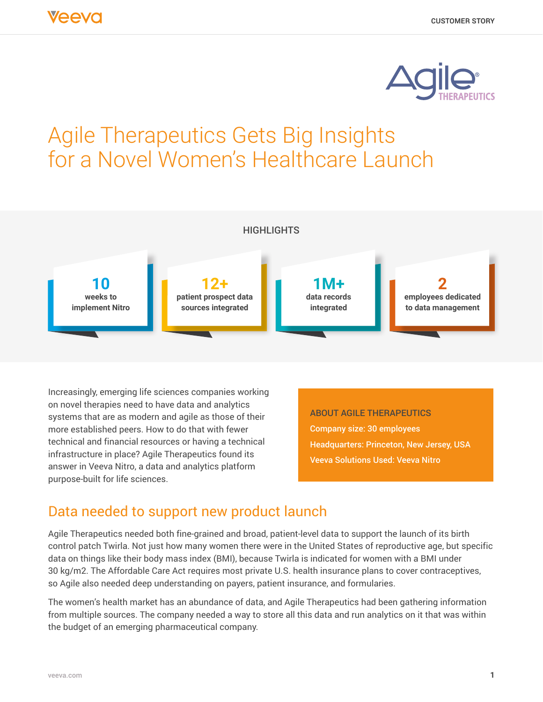

# Agile Therapeutics Gets Big Insights for a Novel Women's Healthcare Launch



Increasingly, emerging life sciences companies working on novel therapies need to have data and analytics systems that are as modern and agile as those of their more established peers. How to do that with fewer technical and financial resources or having a technical infrastructure in place? Agile Therapeutics found its answer in Veeva Nitro, a data and analytics platform purpose-built for life sciences.

ABOUT AGILE THERAPEUTICS Company size: 30 employees Headquarters: Princeton, New Jersey, USA Veeva Solutions Used: Veeva Nitro

## Data needed to support new product launch

Agile Therapeutics needed both fine-grained and broad, patient-level data to support the launch of its birth control patch Twirla. Not just how many women there were in the United States of reproductive age, but specific data on things like their body mass index (BMI), because Twirla is indicated for women with a BMI under 30 kg/m2. The Affordable Care Act requires most private U.S. health insurance plans to cover contraceptives, so Agile also needed deep understanding on payers, patient insurance, and formularies.

The women's health market has an abundance of data, and Agile Therapeutics had been gathering information from multiple sources. The company needed a way to store all this data and run analytics on it that was within the budget of an emerging pharmaceutical company.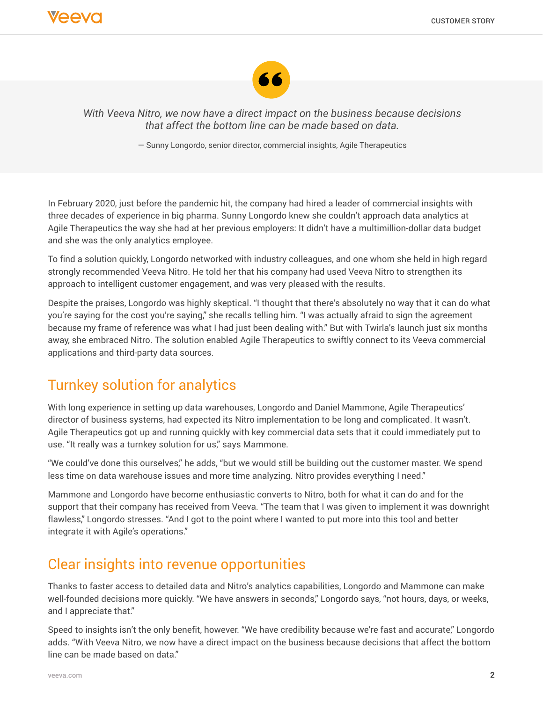

*With Veeva Nitro, we now have a direct impact on the business because decisions that affect the bottom line can be made based on data.*

— Sunny Longordo, senior director, commercial insights, Agile Therapeutics

In February 2020, just before the pandemic hit, the company had hired a leader of commercial insights with three decades of experience in big pharma. Sunny Longordo knew she couldn't approach data analytics at Agile Therapeutics the way she had at her previous employers: It didn't have a multimillion-dollar data budget and she was the only analytics employee.

To find a solution quickly, Longordo networked with industry colleagues, and one whom she held in high regard strongly recommended Veeva Nitro. He told her that his company had used Veeva Nitro to strengthen its approach to intelligent customer engagement, and was very pleased with the results.

Despite the praises, Longordo was highly skeptical. "I thought that there's absolutely no way that it can do what you're saying for the cost you're saying," she recalls telling him. "I was actually afraid to sign the agreement because my frame of reference was what I had just been dealing with." But with Twirla's launch just six months away, she embraced Nitro. The solution enabled Agile Therapeutics to swiftly connect to its Veeva commercial applications and third-party data sources.

## Turnkey solution for analytics

With long experience in setting up data warehouses, Longordo and Daniel Mammone, Agile Therapeutics' director of business systems, had expected its Nitro implementation to be long and complicated. It wasn't. Agile Therapeutics got up and running quickly with key commercial data sets that it could immediately put to use. "It really was a turnkey solution for us," says Mammone.

"We could've done this ourselves," he adds, "but we would still be building out the customer master. We spend less time on data warehouse issues and more time analyzing. Nitro provides everything I need."

Mammone and Longordo have become enthusiastic converts to Nitro, both for what it can do and for the support that their company has received from Veeva. "The team that I was given to implement it was downright flawless," Longordo stresses. "And I got to the point where I wanted to put more into this tool and better integrate it with Agile's operations."

#### Clear insights into revenue opportunities

Thanks to faster access to detailed data and Nitro's analytics capabilities, Longordo and Mammone can make well-founded decisions more quickly. "We have answers in seconds," Longordo says, "not hours, days, or weeks, and I appreciate that."

Speed to insights isn't the only benefit, however. "We have credibility because we're fast and accurate," Longordo adds. "With Veeva Nitro, we now have a direct impact on the business because decisions that affect the bottom line can be made based on data."